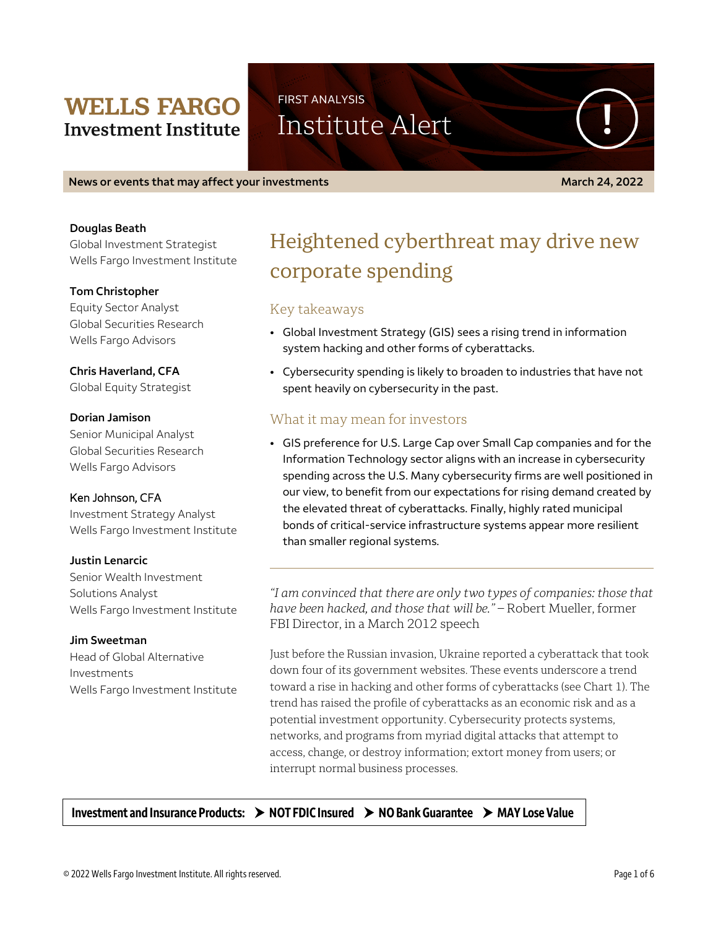# **WELLS FARGO Investment Institute**

FIRST ANALYSIS

Institute Alert

**News or events that may affect your investments March 24, 2022**

### **Douglas Beath**

Global Investment Strategist Wells Fargo Investment Institute

## **Tom Christopher**

Equity Sector Analyst Global Securities Research Wells Fargo Advisors

# **Chris Haverland, CFA**

Global Equity Strategist

## **Dorian Jamison**

Senior Municipal Analyst Global Securities Research Wells Fargo Advisors

# Ken Johnson, CFA

Investment Strategy Analyst Wells Fargo Investment Institute

#### **Justin Lenarcic**

Senior Wealth Investment Solutions Analyst Wells Fargo Investment Institute

# **Jim Sweetman**

Head of Global Alternative Investments Wells Fargo Investment Institute

# Heightened cyberthreat may drive new corporate spending

# Key takeaways

- Global Investment Strategy (GIS) sees a rising trend in information system hacking and other forms of cyberattacks.
- Cybersecurity spending is likely to broaden to industries that have not spent heavily on cybersecurity in the past.

# What it may mean for investors

• GIS preference for U.S. Large Cap over Small Cap companies and for the Information Technology sector aligns with an increase in cybersecurity spending across the U.S. Many cybersecurity firms are well positioned in our view, to benefit from our expectations for rising demand created by the elevated threat of cyberattacks. Finally, highly rated municipal bonds of critical-service infrastructure systems appear more resilient than smaller regional systems.

*"I am convinced that there are only two types of companies: those that have been hacked, and those that will be."* – Robert Mueller, former FBI Director, in a March 2012 speech

Just before the Russian invasion, Ukraine reported a cyberattack that took down four of its government websites. These events underscore a trend toward a rise in hacking and other forms of cyberattacks (see Chart 1). The trend has raised the profile of cyberattacks as an economic risk and as a potential investment opportunity. Cybersecurity protects systems, networks, and programs from myriad digital attacks that attempt to access, change, or destroy information; extort money from users; or interrupt normal business processes.

# Investment and Insurance Products:  $\rightarrow$  NOT FDIC Insured  $\rightarrow$  NO Bank Guarantee  $\rightarrow$  MAY Lose Value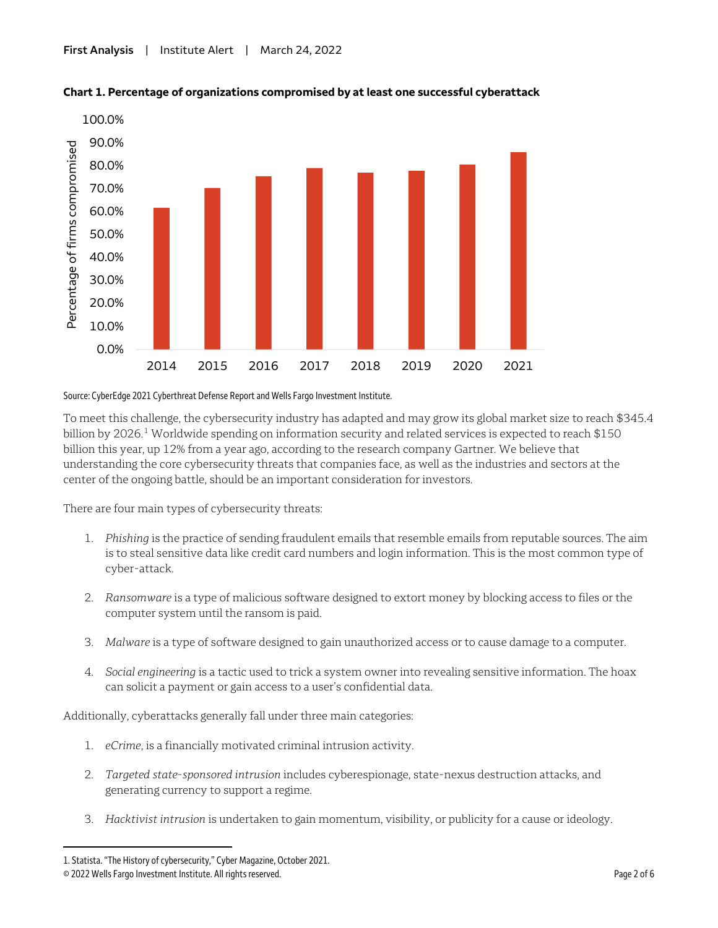

### **Chart 1. Percentage of organizations compromised by at least one successful cyberattack**

#### Source: CyberEdge 2021 Cyberthreat Defense Reportand Wells Fargo Investment Institute.

To meet this challenge, the cybersecurity industry has adapted and may grow its global market size to reach \$345.4 billion by 2026.<sup>[1](#page-1-0)</sup> Worldwide spending on information security and related services is expected to reach \$150 billion this year, up 12% from a year ago, according to the research company Gartner. We believe that understanding the core cybersecurity threats that companies face, as well as the industries and sectors at the center of the ongoing battle, should be an important consideration for investors.

There are four main types of cybersecurity threats:

- 1. *Phishing* is the practice of sending fraudulent emails that resemble emails from reputable sources. The aim is to steal sensitive data like credit card numbers and login information. This is the most common type of cyber-attack.
- 2. *Ransomware* is a type of malicious software designed to extort money by blocking access to files or the computer system until the ransom is paid.
- 3. *Malware* is a type of software designed to gain unauthorized access or to cause damage to a computer.
- 4. *Social engineering* is a tactic used to trick a system owner into revealing sensitive information. The hoax can solicit a payment or gain access to a user's confidential data.

Additionally, cyberattacks generally fall under three main categories:

- 1. *eCrime*, is a financially motivated criminal intrusion activity.
- 2. *Targeted state-sponsored intrusion* includes cyberespionage, state-nexus destruction attacks, and generating currency to support a regime.
- 3. *Hacktivist intrusion* is undertaken to gain momentum, visibility, or publicity for a cause or ideology.

 $\overline{a}$ 

<span id="page-1-0"></span><sup>1.</sup> Statista. "The History of cybersecurity," Cyber Magazine, October 2021.

<sup>© 2022</sup> Wells Fargo Investment Institute. All rights reserved. Page 2 of 6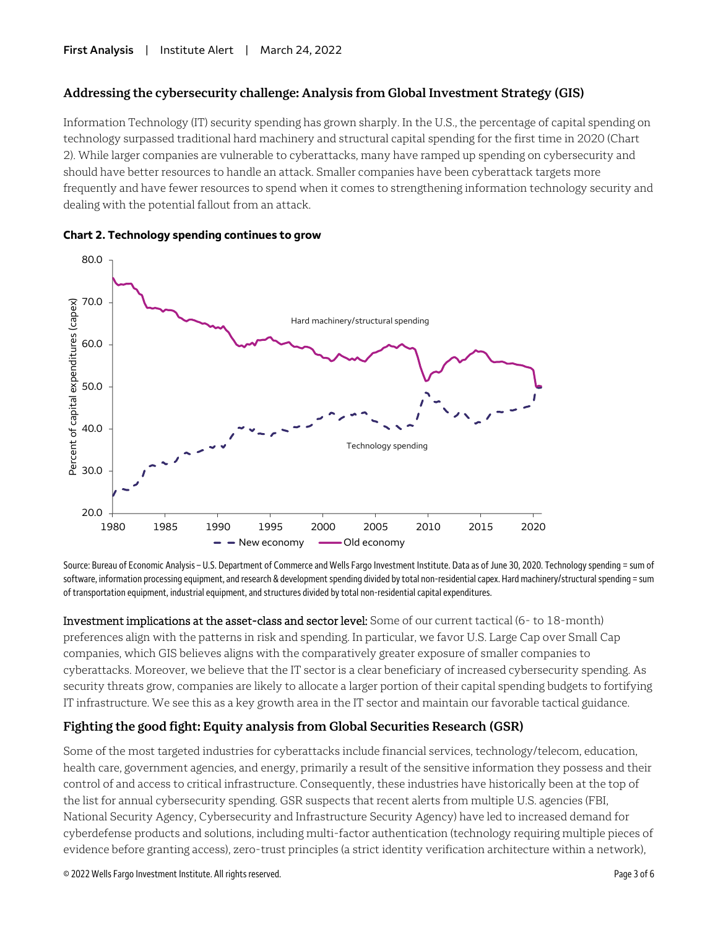# **Addressing the cybersecurity challenge: Analysis from Global Investment Strategy (GIS)**

Information Technology (IT) security spending has grown sharply. In the U.S., the percentage of capital spending on technology surpassed traditional hard machinery and structural capital spending for the first time in 2020 (Chart 2). While larger companies are vulnerable to cyberattacks, many have ramped up spending on cybersecurity and should have better resources to handle an attack. Smaller companies have been cyberattack targets more frequently and have fewer resources to spend when it comes to strengthening information technology security and dealing with the potential fallout from an attack.





Source: Bureau of Economic Analysis – U.S. Department of Commerce and Wells Fargo Investment Institute. Data as of June 30, 2020. Technology spending = sum of software, information processing equipment, and research & development spending divided by total non-residential capex. Hard machinery/structural spending = sum of transportation equipment, industrial equipment, and structures divided by total non-residential capital expenditures.

Investment implications at the asset-class and sector level: Some of our current tactical (6- to 18-month) preferences align with the patterns in risk and spending. In particular, we favor U.S. Large Cap over Small Cap companies, which GIS believes aligns with the comparatively greater exposure of smaller companies to cyberattacks. Moreover, we believe that the IT sector is a clear beneficiary of increased cybersecurity spending. As security threats grow, companies are likely to allocate a larger portion of their capital spending budgets to fortifying IT infrastructure. We see this as a key growth area in the IT sector and maintain our favorable tactical guidance.

# **Fighting the good fight: Equity analysis from Global Securities Research (GSR)**

Some of the most targeted industries for cyberattacks include financial services, technology/telecom, education, health care, government agencies, and energy, primarily a result of the sensitive information they possess and their control of and access to critical infrastructure. Consequently, these industries have historically been at the top of the list for annual cybersecurity spending. GSR suspects that recent alerts from multiple U.S. agencies (FBI, National Security Agency, Cybersecurity and Infrastructure Security Agency) have led to increased demand for cyberdefense products and solutions, including multi-factor authentication (technology requiring multiple pieces of evidence before granting access), zero-trust principles (a strict identity verification architecture within a network),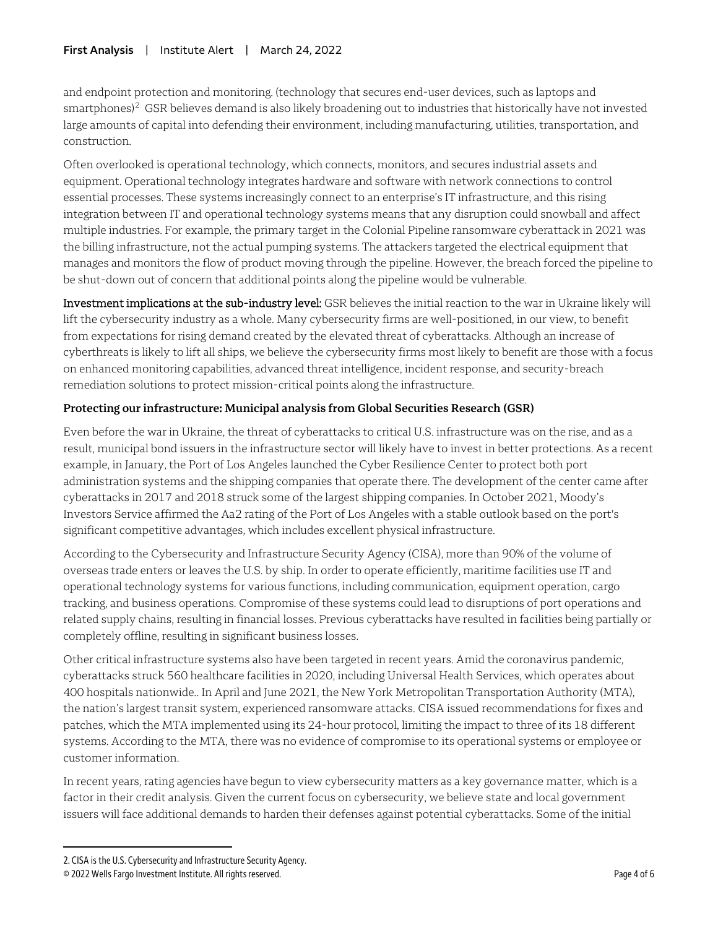and endpoint protection and monitoring. (technology that secures end-user devices, such as laptops and smartphones) $2$  GSR believes demand is also likely broadening out to industries that historically have not invested large amounts of capital into defending their environment, including manufacturing, utilities, transportation, and construction.

Often overlooked is operational technology, which connects, monitors, and secures industrial assets and equipment. Operational technology integrates hardware and software with network connections to control essential processes. These systems increasingly connect to an enterprise's IT infrastructure, and this rising integration between IT and operational technology systems means that any disruption could snowball and affect multiple industries. For example, the primary target in the Colonial Pipeline ransomware cyberattack in 2021 was the billing infrastructure, not the actual pumping systems. The attackers targeted the electrical equipment that manages and monitors the flow of product moving through the pipeline. However, the breach forced the pipeline to be shut-down out of concern that additional points along the pipeline would be vulnerable.

Investment implications at the sub-industry level: GSR believes the initial reaction to the war in Ukraine likely will lift the cybersecurity industry as a whole. Many cybersecurity firms are well-positioned, in our view, to benefit from expectations for rising demand created by the elevated threat of cyberattacks. Although an increase of cyberthreats is likely to lift all ships, we believe the cybersecurity firms most likely to benefit are those with a focus on enhanced monitoring capabilities, advanced threat intelligence, incident response, and security-breach remediation solutions to protect mission-critical points along the infrastructure.

# **Protecting our infrastructure: Municipal analysis from Global Securities Research (GSR)**

Even before the war in Ukraine, the threat of cyberattacks to critical U.S. infrastructure was on the rise, and as a result, municipal bond issuers in the infrastructure sector will likely have to invest in better protections. As a recent example, in January, the Port of Los Angeles launched the Cyber Resilience Center to protect both port administration systems and the shipping companies that operate there. The development of the center came after cyberattacks in 2017 and 2018 struck some of the largest shipping companies. In October 2021, Moody's Investors Service affirmed the Aa2 rating of the Port of Los Angeles with a stable outlook based on the port's significant competitive advantages, which includes excellent physical infrastructure.

According to the Cybersecurity and Infrastructure Security Agency (CISA), more than 90% of the volume of overseas trade enters or leaves the U.S. by ship. In order to operate efficiently, maritime facilities use IT and operational technology systems for various functions, including communication, equipment operation, cargo tracking, and business operations. Compromise of these systems could lead to disruptions of port operations and related supply chains, resulting in financial losses. Previous cyberattacks have resulted in facilities being partially or completely offline, resulting in significant business losses.

Other critical infrastructure systems also have been targeted in recent years. Amid the coronavirus pandemic, cyberattacks struck 560 healthcare facilities in 2020, including Universal Health Services, which operates about 400 hospitals nationwide.. In April and June 2021, the New York Metropolitan Transportation Authority (MTA), the nation's largest transit system, experienced ransomware attacks. CISA issued recommendations for fixes and patches, which the MTA implemented using its 24-hour protocol, limiting the impact to three of its 18 different systems. According to the MTA, there was no evidence of compromise to its operational systems or employee or customer information.

In recent years, rating agencies have begun to view cybersecurity matters as a key governance matter, which is a factor in their credit analysis. Given the current focus on cybersecurity, we believe state and local government issuers will face additional demands to harden their defenses against potential cyberattacks. Some of the initial

 $\overline{a}$ 

<span id="page-3-0"></span><sup>2.</sup> CISA is the U.S. Cybersecurity and Infrastructure Security Agency.

<sup>© 2022</sup> Wells Fargo Investment Institute. All rights reserved. Page 4 of 6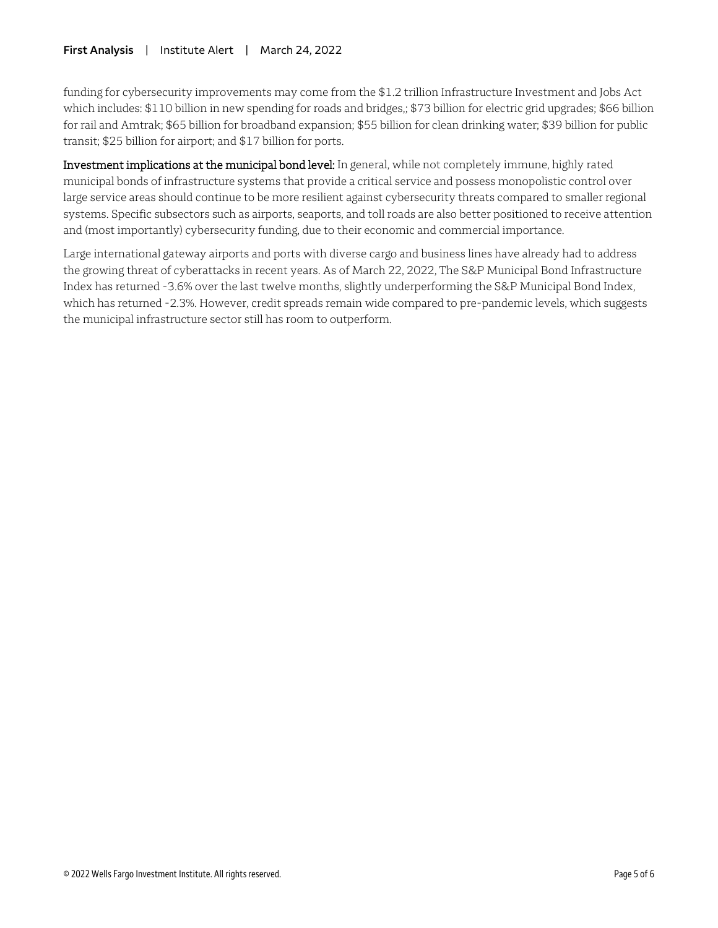## **First Analysis** | Institute Alert | March 24, 2022

funding for cybersecurity improvements may come from the \$1.2 trillion Infrastructure Investment and Jobs Act which includes: \$110 billion in new spending for roads and bridges,; \$73 billion for electric grid upgrades; \$66 billion for rail and Amtrak; \$65 billion for broadband expansion; \$55 billion for clean drinking water; \$39 billion for public transit; \$25 billion for airport; and \$17 billion for ports.

Investment implications at the municipal bond level: In general, while not completely immune, highly rated municipal bonds of infrastructure systems that provide a critical service and possess monopolistic control over large service areas should continue to be more resilient against cybersecurity threats compared to smaller regional systems. Specific subsectors such as airports, seaports, and toll roads are also better positioned to receive attention and (most importantly) cybersecurity funding, due to their economic and commercial importance.

Large international gateway airports and ports with diverse cargo and business lines have already had to address the growing threat of cyberattacks in recent years. As of March 22, 2022, The S&P Municipal Bond Infrastructure Index has returned -3.6% over the last twelve months, slightly underperforming the S&P Municipal Bond Index, which has returned -2.3%. However, credit spreads remain wide compared to pre-pandemic levels, which suggests the municipal infrastructure sector still has room to outperform.